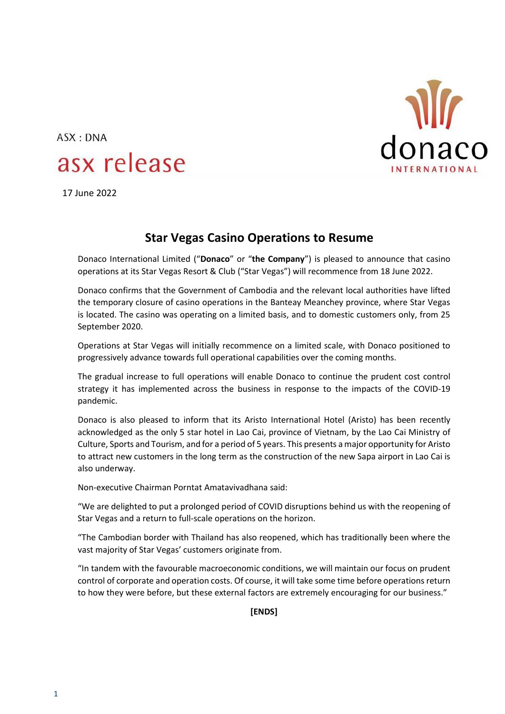

## ASX: DNA asx release

17 June 2022

## **Star Vegas Casino Operations to Resume**

Donaco International Limited ("**Donaco**" or "**the Company**") is pleased to announce that casino operations at its Star Vegas Resort & Club ("Star Vegas") will recommence from 18 June 2022.

Donaco confirms that the Government of Cambodia and the relevant local authorities have lifted the temporary closure of casino operations in the Banteay Meanchey province, where Star Vegas is located. The casino was operating on a limited basis, and to domestic customers only, from 25 September 2020.

Operations at Star Vegas will initially recommence on a limited scale, with Donaco positioned to progressively advance towards full operational capabilities over the coming months.

The gradual increase to full operations will enable Donaco to continue the prudent cost control strategy it has implemented across the business in response to the impacts of the COVID-19 pandemic.

Donaco is also pleased to inform that its Aristo International Hotel (Aristo) has been recently acknowledged as the only 5 star hotel in Lao Cai, province of Vietnam, by the Lao Cai Ministry of Culture, Sports and Tourism, and for a period of 5 years. This presents a major opportunity for Aristo to attract new customers in the long term as the construction of the new Sapa airport in Lao Cai is also underway.

Non-executive Chairman Porntat Amatavivadhana said:

"We are delighted to put a prolonged period of COVID disruptions behind us with the reopening of Star Vegas and a return to full-scale operations on the horizon.

"The Cambodian border with Thailand has also reopened, which has traditionally been where the vast majority of Star Vegas' customers originate from.

"In tandem with the favourable macroeconomic conditions, we will maintain our focus on prudent control of corporate and operation costs. Of course, it will take some time before operations return to how they were before, but these external factors are extremely encouraging for our business."

**[ENDS]**